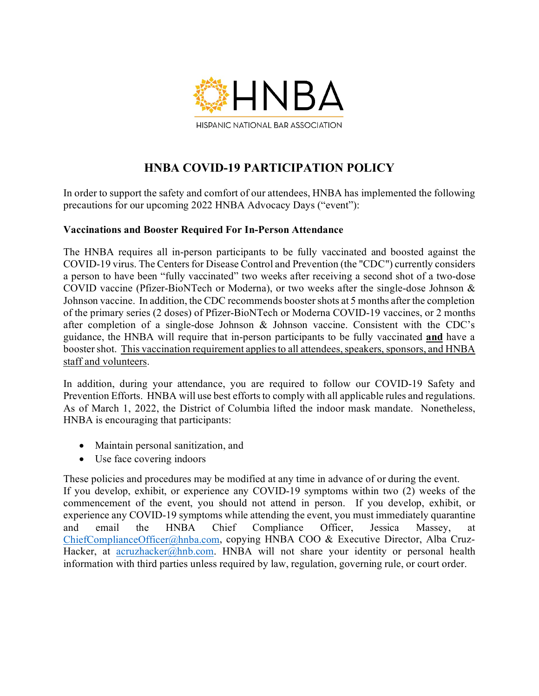

# **HNBA COVID-19 PARTICIPATION POLICY**

In order to support the safety and comfort of our attendees, HNBA has implemented the following precautions for our upcoming 2022 HNBA Advocacy Days ("event"):

## **Vaccinations and Booster Required For In-Person Attendance**

The HNBA requires all in-person participants to be fully vaccinated and boosted against the COVID-19 virus. The Centers for Disease Control and Prevention (the "CDC") currently considers a person to have been "fully vaccinated" two weeks after receiving a second shot of a two-dose COVID vaccine (Pfizer-BioNTech or Moderna), or two weeks after the single-dose Johnson & Johnson vaccine. In addition, the CDC recommends booster shots at 5 months after the completion of the primary series (2 doses) of Pfizer-BioNTech or Moderna COVID-19 vaccines, or 2 months after completion of a single-dose Johnson & Johnson vaccine. Consistent with the CDC's guidance, the HNBA will require that in-person participants to be fully vaccinated **and** have a booster shot. This vaccination requirement applies to all attendees, speakers, sponsors, and HNBA staff and volunteers.

In addition, during your attendance, you are required to follow our COVID-19 Safety and Prevention Efforts. HNBA will use best efforts to comply with all applicable rules and regulations. As of March 1, 2022, the District of Columbia lifted the indoor mask mandate. Nonetheless, HNBA is encouraging that participants:

- Maintain personal sanitization, and
- Use face covering indoors

These policies and procedures may be modified at any time in advance of or during the event. If you develop, exhibit, or experience any COVID-19 symptoms within two (2) weeks of the commencement of the event, you should not attend in person. If you develop, exhibit, or experience any COVID-19 symptoms while attending the event, you must immediately quarantine and email the HNBA Chief Compliance Officer, Jessica Massey, at [ChiefComplianceOfficer@hnba.com,](mailto:ChiefComplianceOfficer@hnba.com) copying HNBA COO & Executive Director, Alba CruzHacker, at [acruzhacker@hnb.com.](mailto:acruzhacker@hnb.com) HNBA will not share your identity or personal health information with third parties unless required by law, regulation, governing rule, or court order.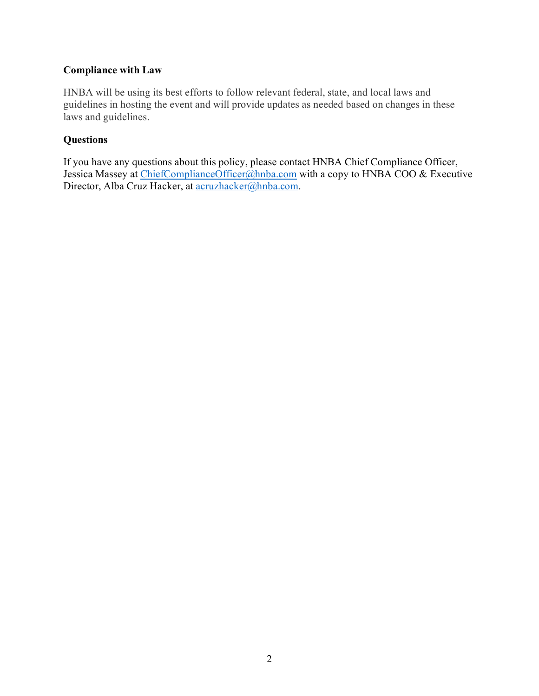# **Compliance with Law**

HNBA will be using its best efforts to follow relevant federal, state, and local laws and guidelines in hosting the event and will provide updates as needed based on changes in these laws and guidelines.

## **Questions**

If you have any questions about this policy, please contact HNBA Chief Compliance Officer, Jessica Massey at [ChiefComplianceOfficer@hnba.com](mailto:ChiefComplianceOfficer@hnba.com) with a copy to HNBA COO & Executive Director, Alba Cruz Hacker, at [acruzhacker@hnba.com.](mailto:acruzhacker@hnba.com)